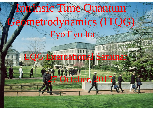#### $F_{\rm N0}F_{\rm V0}F_{\rm A}$ Intrinsic Time Quantum Geometrodynamics (ITQG) Eyo Eyo Ita

Physics Department of Department of the Physics Department of the Department of the Department of the Department of

**Annapolis, Maria Bandara, Maria Bandara, Maria Bandara, 1988** 

October,

**LQG International Seminar**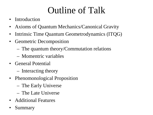## Outline of Talk

- Introduction
- Axioms of Quantum Mechanics/Canonical Gravity
- Intrinsic Time Quantum Geometrodynamics (ITQG)
- Geometric Decomposition
	- The quantum theory/Commutation relations
	- Momentric variables
- General Potential
	- Interacting theory
- Phenomonological Proposition
	- The Early Universe
	- The Late Universe
- Additional Features
- **Summary**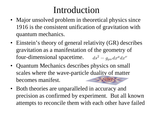### Introduction

- Major unsolved problem in theoretical physics since 1916 is the consistent unification of gravitation with quantum mechanics.
- Einstein's theory of general relativity (GR) describes gravitation as a manifestation of the geometry of four-dimensional spacetime.  $ds^2 = g_{\mu\nu} dx^{\mu} dx^{\nu}$
- Quantum Mechanics describes physics on small scales where the wave-partic[le duality of matter](http://www.google.com/url?sa=i&rct=j&q=&esrc=s&frm=1&source=images&cd=&cad=rja&uact=8&ved=0CAcQjRxqFQoTCMrRpMvh2McCFcJvPgodkSgLTw&url=http%3A%2F%2Fbeforeitsnews.com%2Fmetaphysics%2F2011%2F12%2Fconsciousness-has-nothing-to-do-with-the-collapse-of-the-wavefunction-in-quantum-physics-1520392.html&psig=AFQjCNH9Xdi1CXc7TtBObJV25UM42G284Q&ust=1441297353550728) becomes manifest.
- Both theories are unparalleled in accuracy and precision as confirmed by experiment. But all known attempts to reconcile them with each other have failed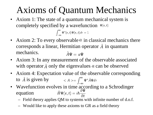## Axioms of Quantum Mechanics

• Axiom 1: The state of a quantum mechanical system is completely specified by a wavefunction  $\Psi$ (r, t)

$$
\int_{-\infty}^{\infty} \Psi^*(\mathbf{r},t) \Psi(\mathbf{r},t) d\tau = 1
$$

- Axiom 2: To every observable  $\alpha$  in classical mechanics there corresponds a linear, Hermitian operator  $\hat{A}$  in quantum mechanics.  $\hat{A}\Psi = a\Psi$
- Axiom 3: In any measurement of the observable associated with operator  $\hat{A}$  only the eigenvalues a can be observed
- Axiom 4: Expectation value of the observable corresponding to  $\hat{A}$  is given by  $\langle A \rangle = \int_{-\infty}^{\infty} \Psi^* \hat{A} \Psi d\tau$
- Wavefunction evolves in time according to a Schrodinger equation
	- Field theory applies QM to systems with infinite number of d.o.f.
	- Would like to apply these axioms to GR as a field theory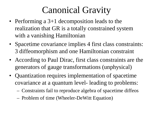## Canonical Gravity

- Performing a 3+1 decomposition leads to the realization that GR is a totally constrained system with a vanishing Hamiltonian
- Spacetime covariance implies 4 first class constraints: 3 diffeomorphism and one Hamiltonian constraint
- According to Paul Dirac, first class constraints are the generators of gauge transformations (unphysical)
- Quantization requires implementation of spacetime covariance at a quantum level- leading to problems:
	- Constraints fail to reproduce algebra of spacetime diffeos
	- Problem of time (Wheeler-DeWitt Equation)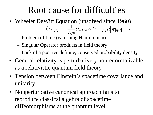### Root cause for difficulties

- Wheeler DeWitt Equation (unsolved since 1960)  $\widehat{H}\Psi[q_{ij}]=\Big[\frac{1}{2\sqrt{q}}G_{ijkl}\widehat{\pi}^{ij}\widehat{\pi}^{kl}-\sqrt{q}R\Big]\Psi[q_{ij}]=0.$ 
	- Problem of time (vanishing Hamiltonian)
	- Singular Operator products in field theory
	- Lack of a positive definite, conserved probability density
- General relativity is perturbatively nonrenormalizable as a relativistic quantum field theory
- Tension between Einstein's spacetime covariance and unitarity
- Nonperturbative canonical approach fails to reproduce classical algebra of spacetime diffeomorphisms at the quantum level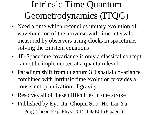# Intrinsic Time Quantum Geometrodynamics (ITQG)

- Need a time which reconciles unitary evolution of wavefunction of the universe with time intervals measured by observers using clocks in spacetimes solving the Einstein equations
- 4D Spacetime covariance is only a classical concept: cannot be implemented at a quantum level
- Paradigm shift from quantum 3D spatial covariance combined with intrinsic time evolution provides a consistent quantization of gravity
- Resolves all of these difficulties in one stroke
- Published by Eyo Ita, Chopin Soo, Ho-Lai Yu – Prog. Theor. Exp. Phys. 2015, 083E01 (8 pages)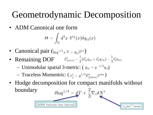## Geometrodynamic Decomposition

• ADM Canonical one form

$$
\Theta=\int_\Sigma d^3x\; \widetilde{\pi}^{ij}(x)\delta q_{ij}(x)
$$

- Canonical pair  $({}_{\ln q^{1/3}}, \tilde{\pi} = q_{ij} \tilde{\pi}^{ij})$
- Remaining DOF  $\bar{E}_{j(mn)}^i = \frac{1}{2} (\delta_m^i \bar{q}_{jn} + \delta_n^i \bar{q}_{jm}) \frac{1}{3} \delta_j^i \bar{q}_{mn}$ 
	- Unimodular spatial 3-metric:  $(\bar{q}_{ij} = q^{-1/3} q_{ij})$
	- Traceless Momentric:  $(\bar{\pi}_i^i = q^{1/3} \bar{E}_{i(mn)}^i \tilde{\pi}^{mn})$

3DDI Intrinsic time interval

• Hodge decomposition for compact manifolds without  $\delta \ln q^{1/3} = \delta T + \frac{2}{3} \nabla_i \delta N^i$ boundary

 $\mathcal{L}_{s\vec{N}}$ lng<sup>1/3</sup> (gauge)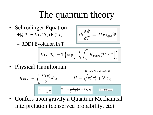### The quantum theory

• Schrodinger Equation  $\Psi[\bar{q},T] = U(T,T_0)\Psi[\bar{q},T_0]$ 

$$
\dot{\imath}\hbar\frac{\delta\Psi}{\delta T}=H_{Phys}\Psi
$$

– 3DDI Evolution in T

$$
U(T,T_0) = \text{T}\Big\{\text{exp}\Big[-\frac{i}{\hbar}\int_{T_0}^T H_{Phys}(T')\delta T'\Big]\Big\}
$$

• Physical Hamiltonian

Weight One density  $(3DDI)$ 

$$
H_{Phys} = \int_{\Sigma} \frac{\bar{H}(x)}{\beta} d^3x \qquad \qquad \bar{H} = \sqrt{\bar{\pi}_i^j \bar{\pi}_j^i + \mathcal{V}[q_{ij}]}
$$

$$
\beta = \frac{1}{\sqrt{6}} \qquad \qquad \mathcal{V} = -\frac{q}{(2\kappa)^2} [R - 2\Lambda_{eff}] \qquad \text{For GR case}
$$

• Confers upon gravity a Quantum Mechanical Interpretation (conserved probability, etc)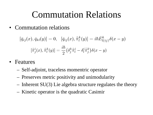#### Commutation Relations

• Commutation relations

$$
\begin{aligned} {}[\bar{q}_{ij}(x),\bar{q}_{kl}(y)] = 0,~~ [\bar{q}_{ij}(x),\hat{\bar{\pi}}^k_l(y)] = i\hbar \bar{E}^k_{l(ij)}\delta(x-y) \\ [~~\hat{\bar{\pi}}^i_j(x),\hat{\bar{\pi}}^k_l(y)] = \frac{i\hbar}{2}(\delta^k_j\hat{\bar{\pi}}^i_l - \delta^i_l\bar{\hat{\pi}}^k_j)\delta(x-y) \end{aligned}
$$

- Features
	- Self-adjoint, traceless momentric operator
	- Preserves metric positivity and unimodularity
	- Inherent SU(3) Lie algebra structure regulates the theory
	- Kinetic operator is the quadratic Casimir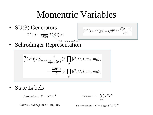### Momentric Variables

• SU(3) Generators<br>  $T^A(x) = \frac{1}{\hbar \delta(0)} (\lambda^A \partial_i^j \hat{\pi}^i_j(x))$ 

$$
[T^{A}(x),T^{B}(y)]=if^{AB}_{C}T^{C}\frac{\delta(x-y)}{\delta(0)}
$$

 $Gell - Mann$  matrices

• Schrodinger Representation

$$
\frac{\hbar}{i}(\lambda^A)^i_j \bar{E}^j_{i(mn)} \frac{\delta}{\delta \bar{q}_{mn}(x)} \langle \bar{q} | \prod_y | l^2, C, I, m_3, m_8 \rangle_y
$$

$$
= \frac{\hbar \delta(0)}{2} \langle \bar{q} | \prod_y | l^2, C, I, m_3, m_8 \rangle_y
$$

• State Labels

$$
Laplacian: \,\,l^2=T^AT^2
$$

$$
Isospin: I = \sum_{B=1}^{3} T^{B}T^{B}
$$

 $Cartan subalgebra: m_3, m_8$ 

Determinant :  $C = d_{ABC}T^AT^BT^C$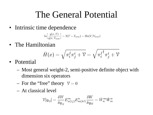### The General Potential

• Intrinsic time dependence

$$
\ln\left[\frac{q(x,T)}{q(x,T_{now})}\right] = 3(T - T_{now}) = 2\ln(V/V_{now})
$$

• The Hamiltonian

$$
\bar{H}(x)=\sqrt{\pi^j_i\pi^i_j+\mathcal{V}}=\sqrt{{\pi^j_i}^\dagger \pi^i_j+\mathcal{V}}
$$

- Potential
	- Most general weight-2, semi-positive definite object with dimension six operators
	- For the "free" theory  $V = 0$
	- At classical level

$$
\mathcal{V}[q_{ij}] = \frac{\delta W}{\delta q_{ij}} E^n_{n(ij)} E^n_{m(kl)} \frac{\delta W}{\delta q_{kl}} = \bar{W}_n^m \bar{W}_m^n
$$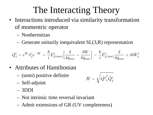## The Interacting Theory

- Interactions introduced via similarity transformation of momentric operator
	- Nonhermitian
	- Generate unitarily inequivalent  $SL(3,R)$  representation

$$
\hat{Q}^i_j=e^W\hat{\bar{\pi}}^i_je^{-W}=\frac{\hbar}{i}\bar{E}^i_{j(mn)}\Big[\frac{\delta}{\delta \bar{q}_{mn}}-\frac{\delta W}{\delta \bar{q}_{mn}}\Big]=\frac{\hbar}{i}\bar{E}^i_{j(mn)}\frac{\delta}{\delta \bar{q}_{mn}}+i\hbar \bar{W}^i_j
$$

- Attributes of Hamiltonian
	- (semi) positive definite

$$
\bar{H}=\sqrt{\hat{Q^{\dag}}_{i}^{j}\hat{Q}_{j}^{i}}
$$

- Self-adjoint
- 3DDI
- Not intrinsic time reversal invariant
- Admit extensions of GR (UV completeness)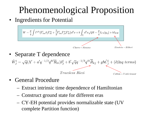# Phenomenological Proposition

• Ingredients for Potential



- General Procedure
	- Extract intrinsic time dependence of Hamiltonian
	- Construct ground state for different eras
	- CY-EH potential provides normalizable state (UV complete Partition function)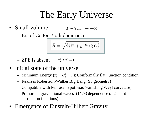# The Early Universe

- Small volume  $T-T_{now}\rightarrow -\infty$ 
	- Era of Cotton-York dominance

$$
\bar{H}=\sqrt{\hat{\pi}_i^j\hat{\pi}_j^i+g^2\hbar^2\tilde{C}_i^j\tilde{C}_j^i}
$$

- ZPE is absent  $[\hat{\pi}_i^i, \tilde{C}_i^j] = 0$
- Initial state of the universe
	- Minimum Energy ( $\bar{\pi}^i_j = \tilde{C}^i_j = 0$ ): Conformally flat, junction condition
	- Realizes Robertson-Walker Big Bang (S3 geometry)
	- Compatible with Penrose hypothesis (vanishing Weyl curvature)
	- Primordial gravitational waves  $(1/k^2)$  dependence of 2-point correlation functions)
- Emergence of Einstein-Hilbert Gravity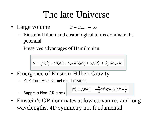#### The late Universe

- Large volume  $T-T_{now}\to\infty$ 
	- Einstein-Hilbert and cosmological terms dominate the potential
	- Preserves advantages of Hamiltonian

$$
\bar{H}=\sqrt{\hat{\bar{\pi}}_i^j\hat{\bar{\pi}}_j^i+\hbar^2(g\tilde{C}_i^j+b\sqrt{q}\bar{R}_i^j)(g\tilde{C}_j^i+b\sqrt{q}\bar{R}_j^i)+[\hat{\bar{\pi}}_j^i,ib\hbar\sqrt{q}\bar{R}_i^j]}
$$

- Emergence of Einstein-Hilbert Gravity
	- ZPE from Heat Kernel regularization

– Suppress Non-GR terms

$$
[\hat{\bar{\pi}}^i_j, ib\sqrt{q}\hbar \bar{R}^j_i] = -\frac{5}{12} b \hbar^2 \delta(0) \sqrt{q} \Big(5R - \frac{9}{\epsilon}\Big)
$$

• Einstein's GR dominates at low curvatures and long wavelengths, 4D symmetry not fundamental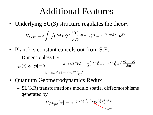#### Additional Features

• Underlying SU(3) structure regulates the theory

$$
H_{Phys}=\hbar\int\sqrt{(Q^{A})^{\dagger}Q^{A}}\frac{\delta(0)}{\sqrt{2}\beta}d^{3}x, \;Q^{A}=e^{-W}T^{A}(x)e^{W}
$$

• Planck's constant cancels out from S.E. – Dimensionless CR

$$
[\bar{q}_{ij}(x), \bar{q}_{kl}(y)] = 0
$$
\n
$$
[\bar{q}_{ij}(x), T^A(y)] = \frac{i}{2} \left( (\lambda^A)_i^k \bar{q}_{kj} + (\lambda^A)_j^k \bar{q}_{ki} \right) \frac{\delta(x - y)}{\delta(0)}
$$
\n
$$
[T^A(x), T^B(y)] = i f_C^{AB} T^C \frac{\delta(x - y)}{\delta(0)}
$$

- Quantum Geometrodynamics Redux
	- SL(3,R) transformations modulo spatial diffeomorphisms generated by

$$
U_{Phys}[\alpha] = e^{-(i/\hbar) \int_{\Sigma} (\alpha_{TT})^j_i \bar{\pi}^i_j d^3 x}
$$

 $2$  DOF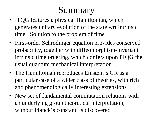## Summary

- ITQG features a physical Hamiltonian, which generates unitary evolution of the state wrt intrinsic time. Solution to the problem of time
- First-order Schrodinger equation provides conserved probability, together with diffeomorphism-invariant intrinsic time ordering, which confers upon ITQG the usual quantum mechanical interpretation
- The Hamiltonian reproduces Einstein's GR as a particular case of a wider class of theories, with rich and phenomenologically interesting extensions
- New set of fundamental commutation relations with an underlying group theoretical interpretation, without Planck's constant, is discovered